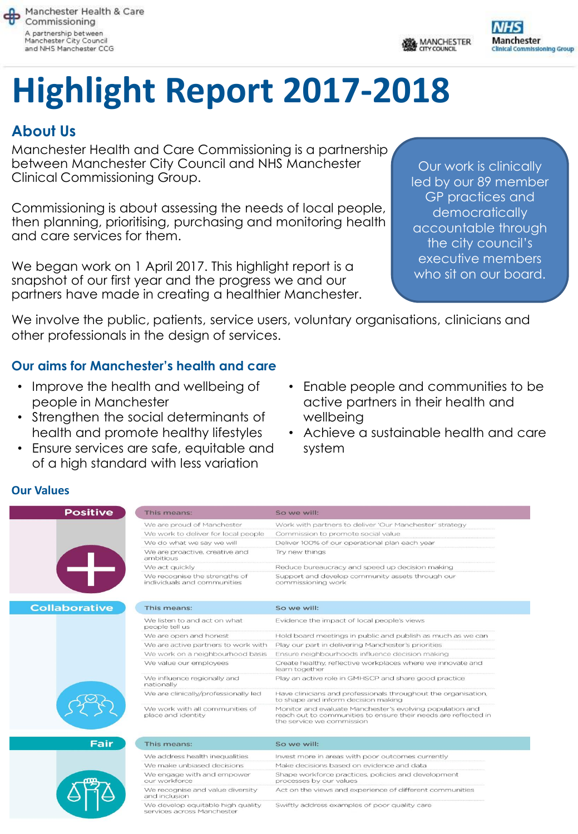

MANCHESTER



# **Highlight Report 2017-2018**

# **About Us**

Manchester Health and Care Commissioning is a partnership between Manchester City Council and NHS Manchester Clinical Commissioning Group.

Commissioning is about assessing the needs of local people, then planning, prioritising, purchasing and monitoring health and care services for them.

We began work on 1 April 2017. This highlight report is a snapshot of our first year and the progress we and our partners have made in creating a healthier Manchester.

Our work is clinically led by our 89 member GP practices and democratically accountable through the city council's executive members who sit on our board.

We involve the public, patients, service users, voluntary organisations, clinicians and other professionals in the design of services.

#### **Our aims for Manchester's health and care**

- Improve the health and wellbeing of people in Manchester
- Strengthen the social determinants of health and promote healthy lifestyles
- Ensure services are safe, equitable and of a high standard with less variation
- Enable people and communities to be active partners in their health and wellbeing
- Achieve a sustainable health and care system

#### **Our Values**

| <b>Positive</b>      | This means:                                                  | So we will:                                                                                                                                               |
|----------------------|--------------------------------------------------------------|-----------------------------------------------------------------------------------------------------------------------------------------------------------|
|                      | We are proud of Manchester                                   | Work with partners to deliver 'Our Manchester' strategy                                                                                                   |
|                      | We work to deliver for local people                          | Commission to promote social value                                                                                                                        |
|                      | We do what we say we will                                    | Deliver 100% of our operational plan each year                                                                                                            |
|                      | We are proactive, creative and<br>ambitious                  | Try new things                                                                                                                                            |
|                      | We act quickly                                               | Reduce bureaucracy and speed up decision making                                                                                                           |
|                      | We recognise the strengths of<br>individuals and communities | Support and develop community assets through our<br>commissioning work                                                                                    |
| <b>Collaborative</b> | This means:                                                  | So we will:                                                                                                                                               |
|                      | We listen to and act on what<br>people tell us               | Evidence the impact of local people's views                                                                                                               |
|                      | We are open and honest                                       | Hold board meetings in public and publish as much as we can                                                                                               |
|                      | We are active partners to work with                          | Play our part in delivering Manchester's priorities                                                                                                       |
|                      | We work on a neighbourhood basis                             | Ensure neighbourhoods influence decision making                                                                                                           |
|                      | We value our employees                                       | Create healthy, reflective workplaces where we innovate and<br>learn together                                                                             |
|                      | We influence regionally and<br>nationally                    | Play an active role in GMHSCP and share good practice                                                                                                     |
|                      | We are clinically/professionally led                         | Have clinicians and professionals throughout the organisation,<br>to shape and inform decision making                                                     |
|                      | We work with all communities of<br>place and identity        | Monitor and evaluate Manchester's evolving population and<br>reach out to communities to ensure their needs are reflected in<br>the service we commission |
| <b>Fair</b>          | This means:                                                  | So we will:                                                                                                                                               |
|                      | We address health inequalities                               | Invest more in areas with poor outcomes currently                                                                                                         |
|                      | We make unbiased decisions                                   | Make decisions based on evidence and data                                                                                                                 |
|                      | We engage with and empower<br>our workforce                  | Shape workforce practices, policies and development<br>processes by our values                                                                            |
|                      | We recognise and value diversity<br>and inclusion.           | Act on the views and experience of different communities                                                                                                  |

We develop equitable high quality rices across Mancheste

Swiftly address examples of poor quality care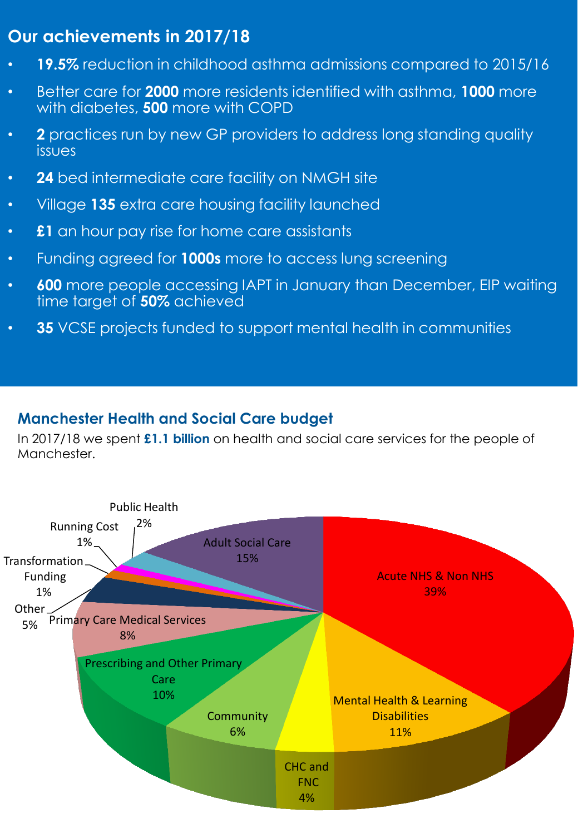# **Our achievements in 2017/18**

- **19.5%** reduction in childhood asthma admissions compared to 2015/16
- Better care for **2000** more residents identified with asthma, **1000** more with diabetes, **500** more with COPD
- **2** practices run by new GP providers to address long standing quality issues
- **24** bed intermediate care facility on NMGH site
- Village **135** extra care housing facility launched
- **£1** an hour pay rise for home care assistants
- Funding agreed for **1000s** more to access lung screening
- **600** more people accessing IAPT in January than December, EIP waiting time target of **50%** achieved
- **35** VCSE projects funded to support mental health in communities

## **Manchester Health and Social Care budget**

In 2017/18 we spent **£1.1 billion** on health and social care services for the people of Manchester.

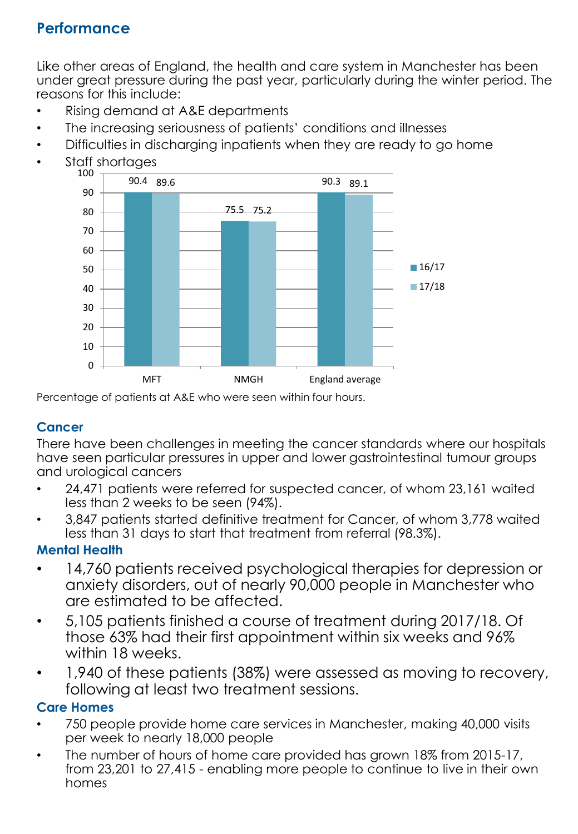# **Performance**

Like other areas of England, the health and care system in Manchester has been under great pressure during the past year, particularly during the winter period. The reasons for this include:

- Rising demand at A&E departments
- The increasing seriousness of patients' conditions and illnesses
- Difficulties in discharging inpatients when they are ready to go home
- Staff shortages



Percentage of patients at A&E who were seen within four hours.

#### **Cancer**

There have been challenges in meeting the cancer standards where our hospitals have seen particular pressures in upper and lower gastrointestinal tumour groups and urological cancers

- 24,471 patients were referred for suspected cancer, of whom 23,161 waited less than 2 weeks to be seen (94%).
- 3,847 patients started definitive treatment for Cancer, of whom 3,778 waited less than 31 days to start that treatment from referral (98.3%).

## **Mental Health**

- 14,760 patients received psychological therapies for depression or anxiety disorders, out of nearly 90,000 people in Manchester who are estimated to be affected.
- 5,105 patients finished a course of treatment during 2017/18. Of those 63% had their first appointment within six weeks and 96% within 18 weeks.
- 1,940 of these patients (38%) were assessed as moving to recovery, following at least two treatment sessions.

## **Care Homes**

- 750 people provide home care services in Manchester, making 40,000 visits per week to nearly 18,000 people
- The number of hours of home care provided has grown 18% from 2015-17, from 23,201 to 27,415 - enabling more people to continue to live in their own homes